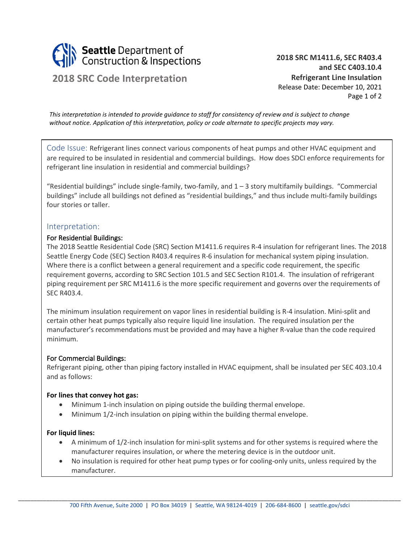

# **2018 SRC Code Interpretation**

**2018 SRC M1411.6, SEC R403.4 and SEC C403.10.4 Refrigerant Line Insulation** Release Date: December 10, 2021 Page 1 of 2

*This interpretation is intended to provide guidance to staff for consistency of review and is subject to change without notice. Application of this interpretation, policy or code alternate to specific projects may vary.*

Code Issue: Refrigerant lines connect various components of heat pumps and other HVAC equipment and are required to be insulated in residential and commercial buildings. How does SDCI enforce requirements for refrigerant line insulation in residential and commercial buildings?

"Residential buildings" include single-family, two-family, and  $1 - 3$  story multifamily buildings. "Commercial buildings" include all buildings not defined as "residential buildings," and thus include multi-family buildings four stories or taller.

## Interpretation:

#### For Residential Buildings:

The 2018 Seattle Residential Code (SRC) Section M1411.6 requires R-4 insulation for refrigerant lines. The 2018 Seattle Energy Code (SEC) Section R403.4 requires R-6 insulation for mechanical system piping insulation. Where there is a conflict between a general requirement and a specific code requirement, the specific requirement governs, according to SRC Section 101.5 and SEC Section R101.4. The insulation of refrigerant piping requirement per SRC M1411.6 is the more specific requirement and governs over the requirements of SEC R403.4.

The minimum insulation requirement on vapor lines in residential building is R-4 insulation. Mini-split and certain other heat pumps typically also require liquid line insulation. The required insulation per the manufacturer's recommendations must be provided and may have a higher R-value than the code required minimum.

## For Commercial Buildings:

Refrigerant piping, other than piping factory installed in HVAC equipment, shall be insulated per SEC 403.10.4 and as follows:

#### **For lines that convey hot gas:**

- Minimum 1-inch insulation on piping outside the building thermal envelope.
- Minimum 1/2-inch insulation on piping within the building thermal envelope.

#### **For liquid lines:**

- A minimum of 1/2-inch insulation for mini-split systems and for other systems is required where the manufacturer requires insulation, or where the metering device is in the outdoor unit.
- No insulation is required for other heat pump types or for cooling-only units, unless required by the manufacturer.